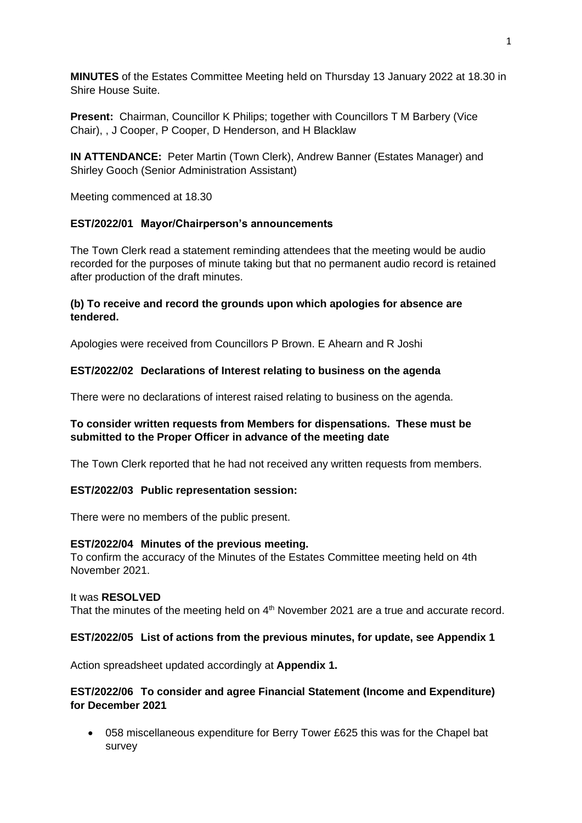**MINUTES** of the Estates Committee Meeting held on Thursday 13 January 2022 at 18.30 in Shire House Suite.

**Present:** Chairman, Councillor K Philips; together with Councillors T M Barbery (Vice Chair), , J Cooper, P Cooper, D Henderson, and H Blacklaw

**IN ATTENDANCE:** Peter Martin (Town Clerk), Andrew Banner (Estates Manager) and Shirley Gooch (Senior Administration Assistant)

Meeting commenced at 18.30

## **EST/2022/01 Mayor/Chairperson's announcements**

The Town Clerk read a statement reminding attendees that the meeting would be audio recorded for the purposes of minute taking but that no permanent audio record is retained after production of the draft minutes.

## **(b) To receive and record the grounds upon which apologies for absence are tendered.**

Apologies were received from Councillors P Brown. E Ahearn and R Joshi

#### **EST/2022/02 Declarations of Interest relating to business on the agenda**

There were no declarations of interest raised relating to business on the agenda.

# **To consider written requests from Members for dispensations. These must be submitted to the Proper Officer in advance of the meeting date**

The Town Clerk reported that he had not received any written requests from members.

#### **EST/2022/03 Public representation session:**

There were no members of the public present.

#### **EST/2022/04 Minutes of the previous meeting.**

To confirm the accuracy of the Minutes of the Estates Committee meeting held on 4th November 2021.

#### It was **RESOLVED**

That the minutes of the meeting held on  $4<sup>th</sup>$  November 2021 are a true and accurate record.

#### **EST/2022/05 List of actions from the previous minutes, for update, see Appendix 1**

Action spreadsheet updated accordingly at **Appendix 1.**

## **EST/2022/06 To consider and agree Financial Statement (Income and Expenditure) for December 2021**

• 058 miscellaneous expenditure for Berry Tower £625 this was for the Chapel bat survey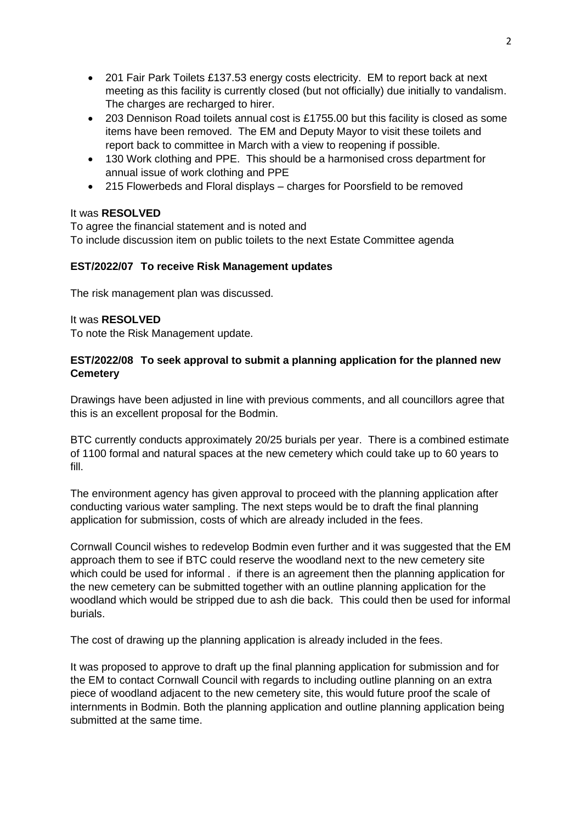- 201 Fair Park Toilets £137.53 energy costs electricity. EM to report back at next meeting as this facility is currently closed (but not officially) due initially to vandalism. The charges are recharged to hirer.
- 203 Dennison Road toilets annual cost is £1755.00 but this facility is closed as some items have been removed. The EM and Deputy Mayor to visit these toilets and report back to committee in March with a view to reopening if possible.
- 130 Work clothing and PPE. This should be a harmonised cross department for annual issue of work clothing and PPE
- 215 Flowerbeds and Floral displays charges for Poorsfield to be removed

# It was **RESOLVED**

To agree the financial statement and is noted and To include discussion item on public toilets to the next Estate Committee agenda

# **EST/2022/07 To receive Risk Management updates**

The risk management plan was discussed.

## It was **RESOLVED**

To note the Risk Management update.

# **EST/2022/08 To seek approval to submit a planning application for the planned new Cemetery**

Drawings have been adjusted in line with previous comments, and all councillors agree that this is an excellent proposal for the Bodmin.

BTC currently conducts approximately 20/25 burials per year. There is a combined estimate of 1100 formal and natural spaces at the new cemetery which could take up to 60 years to fill.

The environment agency has given approval to proceed with the planning application after conducting various water sampling. The next steps would be to draft the final planning application for submission, costs of which are already included in the fees.

Cornwall Council wishes to redevelop Bodmin even further and it was suggested that the EM approach them to see if BTC could reserve the woodland next to the new cemetery site which could be used for informal . if there is an agreement then the planning application for the new cemetery can be submitted together with an outline planning application for the woodland which would be stripped due to ash die back. This could then be used for informal burials.

The cost of drawing up the planning application is already included in the fees.

It was proposed to approve to draft up the final planning application for submission and for the EM to contact Cornwall Council with regards to including outline planning on an extra piece of woodland adjacent to the new cemetery site, this would future proof the scale of internments in Bodmin. Both the planning application and outline planning application being submitted at the same time.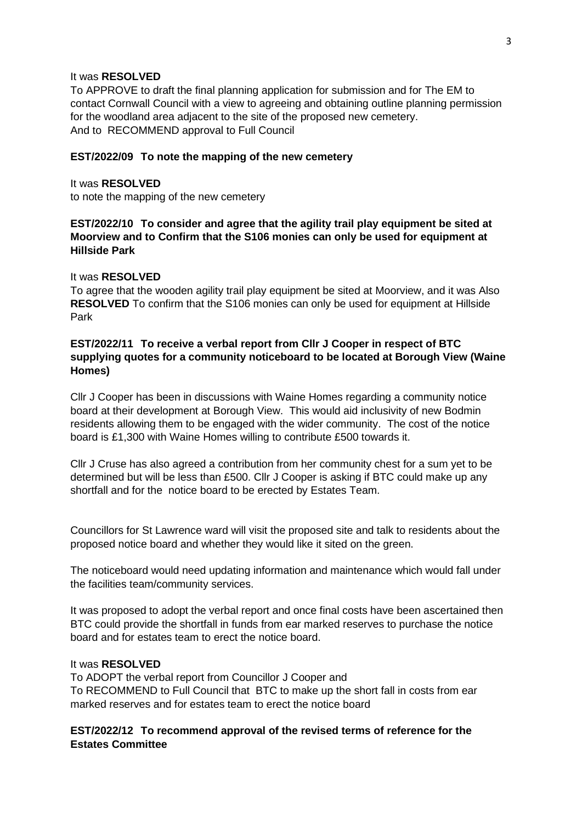#### It was **RESOLVED**

To APPROVE to draft the final planning application for submission and for The EM to contact Cornwall Council with a view to agreeing and obtaining outline planning permission for the woodland area adjacent to the site of the proposed new cemetery. And to RECOMMEND approval to Full Council

#### **EST/2022/09 To note the mapping of the new cemetery**

It was **RESOLVED** to note the mapping of the new cemetery

# **EST/2022/10 To consider and agree that the agility trail play equipment be sited at Moorview and to Confirm that the S106 monies can only be used for equipment at Hillside Park**

### It was **RESOLVED**

To agree that the wooden agility trail play equipment be sited at Moorview, and it was Also **RESOLVED** To confirm that the S106 monies can only be used for equipment at Hillside Park

# **EST/2022/11 To receive a verbal report from Cllr J Cooper in respect of BTC supplying quotes for a community noticeboard to be located at Borough View (Waine Homes)**

Cllr J Cooper has been in discussions with Waine Homes regarding a community notice board at their development at Borough View. This would aid inclusivity of new Bodmin residents allowing them to be engaged with the wider community. The cost of the notice board is £1,300 with Waine Homes willing to contribute £500 towards it.

Cllr J Cruse has also agreed a contribution from her community chest for a sum yet to be determined but will be less than £500. Cllr J Cooper is asking if BTC could make up any shortfall and for the notice board to be erected by Estates Team.

Councillors for St Lawrence ward will visit the proposed site and talk to residents about the proposed notice board and whether they would like it sited on the green.

The noticeboard would need updating information and maintenance which would fall under the facilities team/community services.

It was proposed to adopt the verbal report and once final costs have been ascertained then BTC could provide the shortfall in funds from ear marked reserves to purchase the notice board and for estates team to erect the notice board.

#### It was **RESOLVED**

To ADOPT the verbal report from Councillor J Cooper and To RECOMMEND to Full Council that BTC to make up the short fall in costs from ear marked reserves and for estates team to erect the notice board

## **EST/2022/12 To recommend approval of the revised terms of reference for the Estates Committee**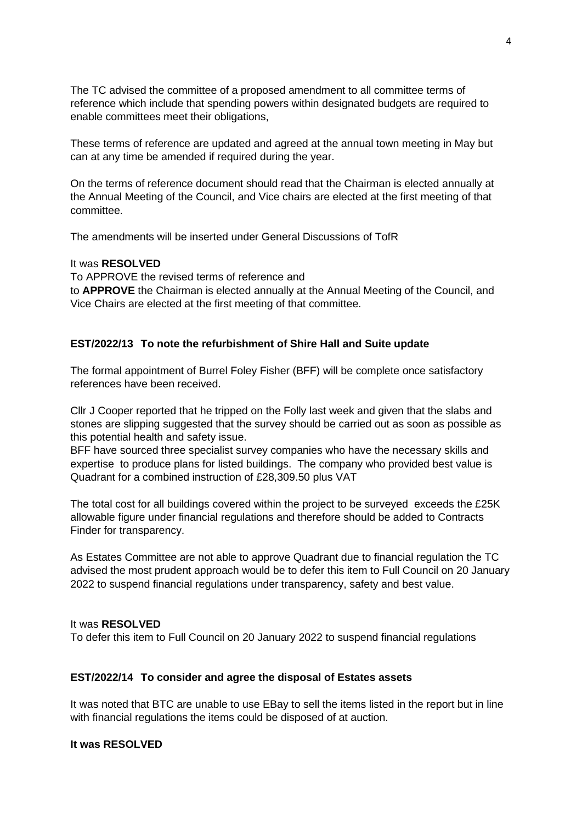The TC advised the committee of a proposed amendment to all committee terms of reference which include that spending powers within designated budgets are required to enable committees meet their obligations,

These terms of reference are updated and agreed at the annual town meeting in May but can at any time be amended if required during the year.

On the terms of reference document should read that the Chairman is elected annually at the Annual Meeting of the Council, and Vice chairs are elected at the first meeting of that committee.

The amendments will be inserted under General Discussions of TofR

#### It was **RESOLVED**

To APPROVE the revised terms of reference and to **APPROVE** the Chairman is elected annually at the Annual Meeting of the Council, and Vice Chairs are elected at the first meeting of that committee.

#### **EST/2022/13 To note the refurbishment of Shire Hall and Suite update**

The formal appointment of Burrel Foley Fisher (BFF) will be complete once satisfactory references have been received.

Cllr J Cooper reported that he tripped on the Folly last week and given that the slabs and stones are slipping suggested that the survey should be carried out as soon as possible as this potential health and safety issue.

BFF have sourced three specialist survey companies who have the necessary skills and expertise to produce plans for listed buildings. The company who provided best value is Quadrant for a combined instruction of £28,309.50 plus VAT

The total cost for all buildings covered within the project to be surveyed exceeds the £25K allowable figure under financial regulations and therefore should be added to Contracts Finder for transparency.

As Estates Committee are not able to approve Quadrant due to financial regulation the TC advised the most prudent approach would be to defer this item to Full Council on 20 January 2022 to suspend financial regulations under transparency, safety and best value.

#### It was **RESOLVED**

To defer this item to Full Council on 20 January 2022 to suspend financial regulations

#### **EST/2022/14 To consider and agree the disposal of Estates assets**

It was noted that BTC are unable to use EBay to sell the items listed in the report but in line with financial regulations the items could be disposed of at auction.

### **It was RESOLVED**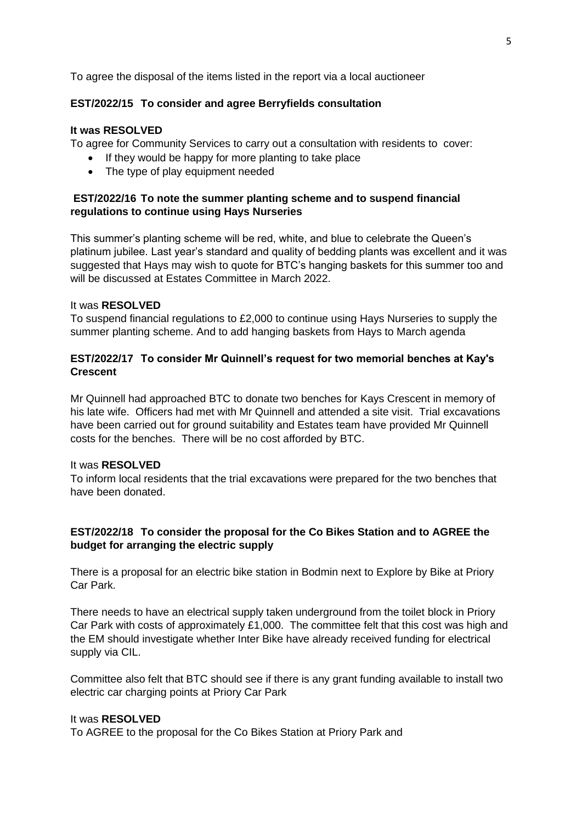To agree the disposal of the items listed in the report via a local auctioneer

## **EST/2022/15 To consider and agree Berryfields consultation**

### **It was RESOLVED**

To agree for Community Services to carry out a consultation with residents to cover:

- If they would be happy for more planting to take place
- The type of play equipment needed

## **EST/2022/16 To note the summer planting scheme and to suspend financial regulations to continue using Hays Nurseries**

This summer's planting scheme will be red, white, and blue to celebrate the Queen's platinum jubilee. Last year's standard and quality of bedding plants was excellent and it was suggested that Hays may wish to quote for BTC's hanging baskets for this summer too and will be discussed at Estates Committee in March 2022.

#### It was **RESOLVED**

To suspend financial regulations to £2,000 to continue using Hays Nurseries to supply the summer planting scheme. And to add hanging baskets from Hays to March agenda

# **EST/2022/17 To consider Mr Quinnell's request for two memorial benches at Kay's Crescent**

Mr Quinnell had approached BTC to donate two benches for Kays Crescent in memory of his late wife. Officers had met with Mr Quinnell and attended a site visit. Trial excavations have been carried out for ground suitability and Estates team have provided Mr Quinnell costs for the benches. There will be no cost afforded by BTC.

# It was **RESOLVED**

To inform local residents that the trial excavations were prepared for the two benches that have been donated.

# **EST/2022/18 To consider the proposal for the Co Bikes Station and to AGREE the budget for arranging the electric supply**

There is a proposal for an electric bike station in Bodmin next to Explore by Bike at Priory Car Park.

There needs to have an electrical supply taken underground from the toilet block in Priory Car Park with costs of approximately £1,000. The committee felt that this cost was high and the EM should investigate whether Inter Bike have already received funding for electrical supply via CIL.

Committee also felt that BTC should see if there is any grant funding available to install two electric car charging points at Priory Car Park

#### It was **RESOLVED**

To AGREE to the proposal for the Co Bikes Station at Priory Park and